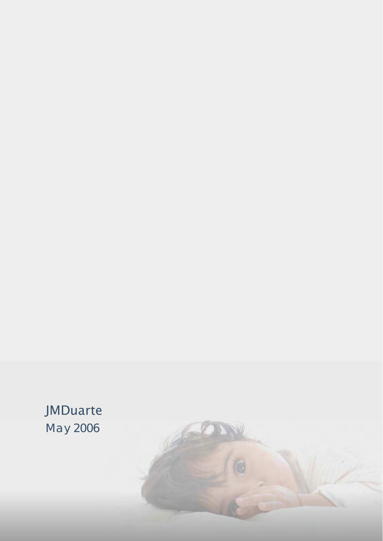# JMDuarte May 2006

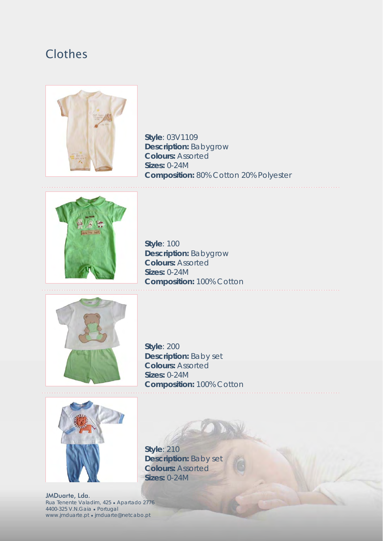# Clothes



**Style**: 03V1109 **Description:** Babygrow **Colours:** Assorted **Sizes:** 0-24M **Composition:** 80% Cotton 20% Polyester



**Style**: 100 **Description:** Babygrow **Colours:** Assorted **Sizes:** 0-24M **Composition:** 100% Cotton



**Style**: 200 **Description:** Baby set **Colours:** Assorted **Sizes:** 0-24M **Composition:** 100% Cotton

**Style**: 210

**Sizes:** 0-24M

**Description:** Baby set **Colours:** Assorted

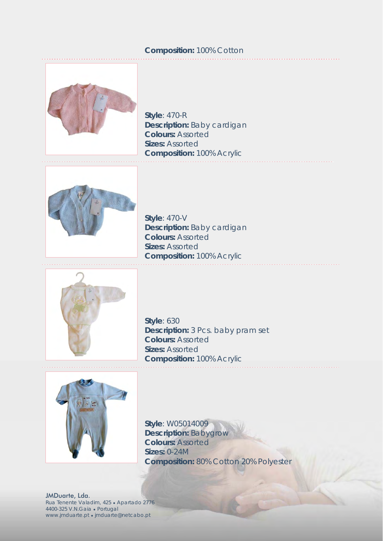#### **Composition:** 100% Cotton



**Style**: 470-R **Description:** Baby cardigan **Colours:** Assorted **Sizes:** Assorted **Composition:** 100% Acrylic



**Style**: 470-V **Description:** Baby cardigan **Colours:** Assorted **Sizes:** Assorted **Composition:** 100% Acrylic



**Style**: 630 **Description:** 3 Pcs. baby pram set **Colours:** Assorted **Sizes:** Assorted **Composition:** 100% Acrylic



**Style**: W05014009 **Description:** Babygrow **Colours:** Assorted **Sizes:** 0-24M **Composition:** 80% Cotton 20% Polyester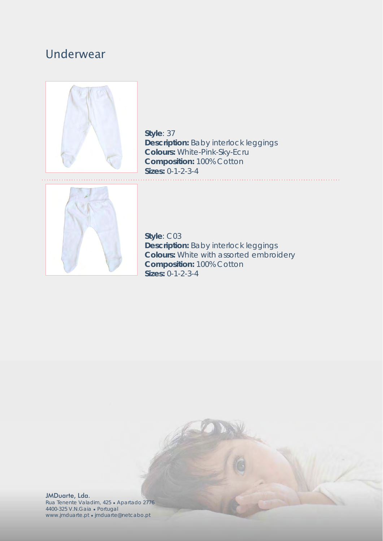### Underwear



**Style**: 37 **Description:** Baby interlock leggings **Colours:** White-Pink-Sky-Ecru **Composition:** 100% Cotton **Sizes:** 0-1-2-3-4 



**Style**: C03 **Description:** Baby interlock leggings **Colours:** White with assorted embroidery **Composition:** 100% Cotton **Sizes:** 0-1-2-3-4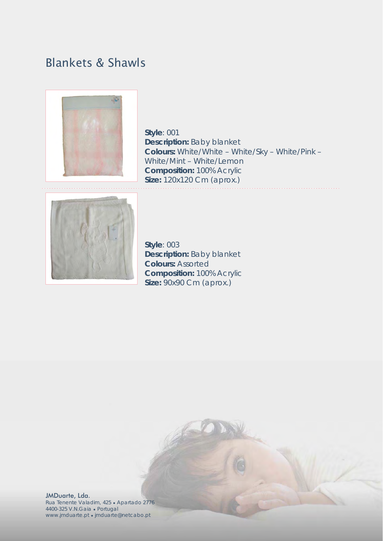# Blankets & Shawls



**Style**: 001 **Description:** Baby blanket **Colours:** White/White – White/Sky – White/Pink – White/Mint – White/Lemon **Composition:** 100% Acrylic **Size:** 120x120 Cm (aprox.)



**Style**: 003 **Description:** Baby blanket **Colours:** Assorted **Composition:** 100% Acrylic **Size:** 90x90 Cm (aprox.)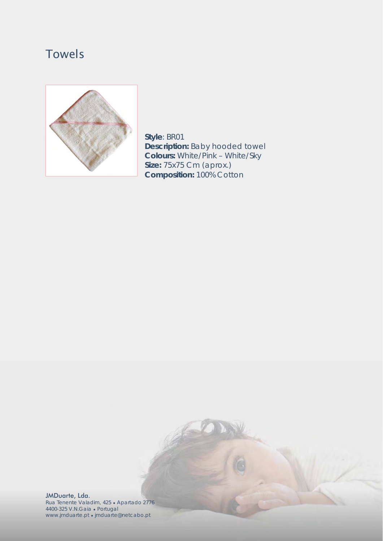# Towels



**Style**: BR01 **Description:** Baby hooded towel **Colours:** White/Pink – White/Sky **Size:** 75x75 Cm (aprox.) **Composition:** 100% Cotton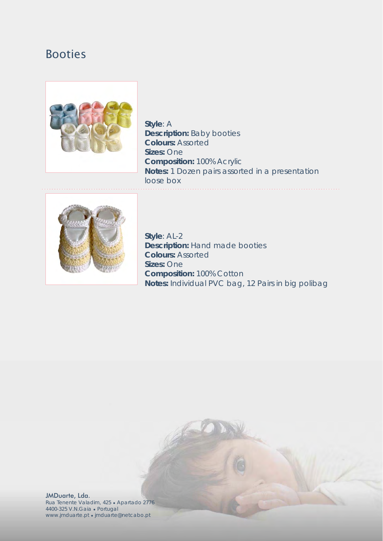#### Booties



**Style**: A **Description:** Baby booties **Colours:** Assorted **Sizes:** One **Composition:** 100% Acrylic **Notes:** 1 Dozen pairs assorted in a presentation loose box



**Style**: AL-2 **Description:** Hand made booties **Colours:** Assorted **Sizes:** One **Composition:** 100% Cotton **Notes:** Individual PVC bag, 12 Pairs in big polibag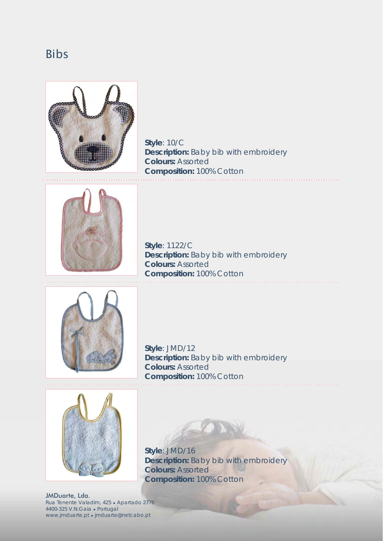#### Bibs



**Style**: 10/C **Description:** Baby bib with embroidery **Colours:** Assorted **Composition:** 100% Cotton 



**Style**: 1122/C **Description:** Baby bib with embroidery **Colours:** Assorted **Composition:** 100% Cotton



**Style**: JMD/12 **Description:** Baby bib with embroidery **Colours:** Assorted **Composition:** 100% Cotton



**Style**: JMD/16

**Description:** Baby bib with embroidery **Colours:** Assorted **Composition:** 100% Cotton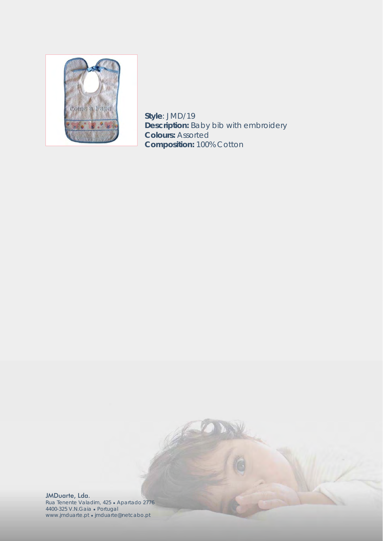

**Style**: JMD/19 **Description:** Baby bib with embroidery **Colours:** Assorted **Composition:** 100% Cotton